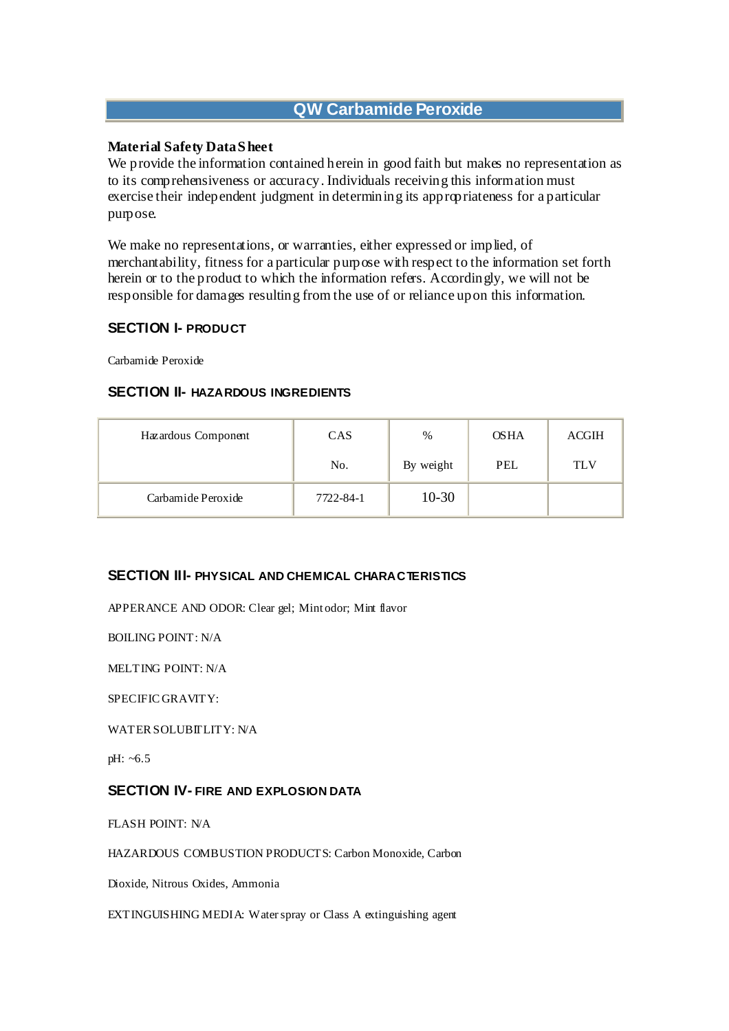# **QW Carbamide Peroxide**

## **Material Safety Data S heet**

We provide the information contained herein in good faith but makes no representation as to its comprehensiveness or accuracy. Individuals receiving this information must exercise their independent judgment in determining its appropriateness for a particular purpose.

We make no representations, or warranties, either expressed or implied, of merchantability, fitness for a particular purpose with respect to the information set forth herein or to the product to which the information refers. Accordingly, we will not be responsible for damages resulting from the use of or reliance upon this information.

#### **SECTION I- PRODUCT**

Carbamide Peroxide

## **SECTION II- HAZARDOUS INGREDIENTS**

| Hazardous Component | <b>CAS</b> | $\%$      | <b>OSHA</b> | <b>ACGIH</b> |
|---------------------|------------|-----------|-------------|--------------|
|                     | No.        | By weight | PEL         | TLV          |
| Carbamide Peroxide  | 7722-84-1  | 10-30     |             |              |

# **SECTION III- PHYSICAL AND CHEMICAL CHARACTERISTICS**

APPERANCE AND ODOR: Clear gel; Mint odor; Mint flavor

BOILING POINT: N/A

MELTING POINT: N/A

SPECIFIC GRAVITY:

WATER SOLUBITLITY: N/A

pH: ~6.5

#### **SECTION IV- FIRE AND EXPLOSION DATA**

FLASH POINT: N/A

HAZARDOUS COMBUSTION PRODUCTS: Carbon Monoxide, Carbon

Dioxide, Nitrous Oxides, Ammonia

EXTINGUISHING MEDIA: Water spray or Class A extinguishing agent